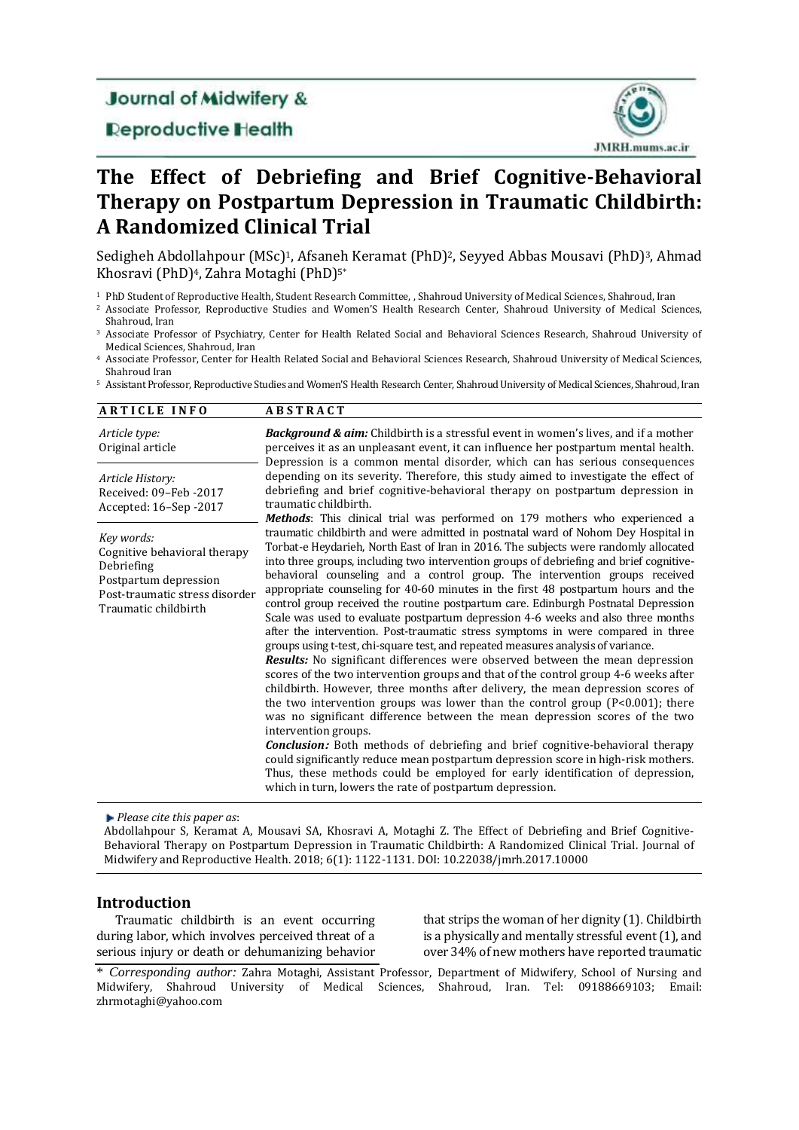## **Journal of Midwifery &**

**Deproductive Health** 



# **The Effect of Debriefing and Brief Cognitive-Behavioral Therapy on Postpartum Depression in Traumatic Childbirth: A Randomized Clinical Trial**

Sedigheh Abdollahpour (MSc)<sup>1</sup>, Afsaneh Keramat (PhD)<sup>2</sup>, Seyyed Abbas Mousavi (PhD)<sup>3</sup>, Ahmad Khosravi (PhD) <sup>4</sup>, Zahra Motaghi (PhD) 5\*

<sup>1</sup> PhD Student of Reproductive Health, Student Research Committee, , Shahroud University of Medical Sciences, Shahroud, Iran

<sup>2</sup> Associate Professor, Reproductive Studies and Women'S Health Research Center, Shahroud University of Medical Sciences, Shahroud, Iran

<sup>3</sup> Associate Professor of Psychiatry, Center for Health Related Social and Behavioral Sciences Research, Shahroud University of Medical Sciences, Shahroud, Iran

<sup>4</sup> Associate Professor, Center for Health Related Social and Behavioral Sciences Research, Shahroud University of Medical Sciences, Shahroud Iran

<sup>5</sup> Assistant Professor, Reproductive Studies and Women'S Health Research Center, Shahroud University of Medical Sciences, Shahroud, Iran

| <b>ARTICLE INFO</b>                                                                                                                         | <b>ABSTRACT</b>                                                                                                                                                                                                                                                                                                                                                                                                                                                                                                                                                                                                                                                                                                                                                                                                                                                                                                                                                                                                                                                                                                                                                                                                                                                                                                                                                                                                                                                                                                                                                                    |
|---------------------------------------------------------------------------------------------------------------------------------------------|------------------------------------------------------------------------------------------------------------------------------------------------------------------------------------------------------------------------------------------------------------------------------------------------------------------------------------------------------------------------------------------------------------------------------------------------------------------------------------------------------------------------------------------------------------------------------------------------------------------------------------------------------------------------------------------------------------------------------------------------------------------------------------------------------------------------------------------------------------------------------------------------------------------------------------------------------------------------------------------------------------------------------------------------------------------------------------------------------------------------------------------------------------------------------------------------------------------------------------------------------------------------------------------------------------------------------------------------------------------------------------------------------------------------------------------------------------------------------------------------------------------------------------------------------------------------------------|
| Article type:<br>Original article                                                                                                           | <b>Background &amp; aim:</b> Childbirth is a stressful event in women's lives, and if a mother<br>perceives it as an unpleasant event, it can influence her postpartum mental health.<br>Depression is a common mental disorder, which can has serious consequences                                                                                                                                                                                                                                                                                                                                                                                                                                                                                                                                                                                                                                                                                                                                                                                                                                                                                                                                                                                                                                                                                                                                                                                                                                                                                                                |
| Article History:<br>Received: 09-Feb -2017<br>Accepted: 16–Sep -2017                                                                        | depending on its severity. Therefore, this study aimed to investigate the effect of<br>debriefing and brief cognitive-behavioral therapy on postpartum depression in<br>traumatic childbirth.<br>Methods: This clinical trial was performed on 179 mothers who experienced a                                                                                                                                                                                                                                                                                                                                                                                                                                                                                                                                                                                                                                                                                                                                                                                                                                                                                                                                                                                                                                                                                                                                                                                                                                                                                                       |
| Key words:<br>Cognitive behavioral therapy<br>Debriefing<br>Postpartum depression<br>Post-traumatic stress disorder<br>Traumatic childbirth | traumatic childbirth and were admitted in postnatal ward of Nohom Dey Hospital in<br>Torbat-e Heydarieh, North East of Iran in 2016. The subjects were randomly allocated<br>into three groups, including two intervention groups of debriefing and brief cognitive-<br>behavioral counseling and a control group. The intervention groups received<br>appropriate counseling for 40-60 minutes in the first 48 postpartum hours and the<br>control group received the routine postpartum care. Edinburgh Postnatal Depression<br>Scale was used to evaluate postpartum depression 4-6 weeks and also three months<br>after the intervention. Post-traumatic stress symptoms in were compared in three<br>groups using t-test, chi-square test, and repeated measures analysis of variance.<br><b>Results:</b> No significant differences were observed between the mean depression<br>scores of the two intervention groups and that of the control group 4-6 weeks after<br>childbirth. However, three months after delivery, the mean depression scores of<br>the two intervention groups was lower than the control group $(P<0.001)$ ; there<br>was no significant difference between the mean depression scores of the two<br>intervention groups.<br><b>Conclusion:</b> Both methods of debriefing and brief cognitive-behavioral therapy<br>could significantly reduce mean postpartum depression score in high-risk mothers.<br>Thus, these methods could be employed for early identification of depression,<br>which in turn, lowers the rate of postpartum depression. |

*Please cite this paper as*:

Abdollahpour S, Keramat A, Mousavi SA, Khosravi A, Motaghi Z. The Effect of Debriefing and Brief Cognitive-Behavioral Therapy on Postpartum Depression in Traumatic Childbirth: A Randomized Clinical Trial. Journal of Midwifery and Reproductive Health. 2018; 6(1): 1122-1131. DOI: 10.22038/jmrh.2017.10000

### **Introduction**

Traumatic childbirth is an event occurring during labor, which involves perceived threat of a serious injury or death or dehumanizing behavior

that strips the woman of her dignity (1). Childbirth is a physically and mentally stressful event (1), and over 34% of new mothers have reported traumatic

\* *Corresponding author:* Zahra Motaghi, Assistant Professor, Department of Midwifery, School of Nursing and Midwifery, Shahroud University of Medical Sciences, Shahroud, Iran. Tel: 09188669103; Email: [zhrmotaghi@yahoo.com](mailto:zhrmotaghi@yahoo.com)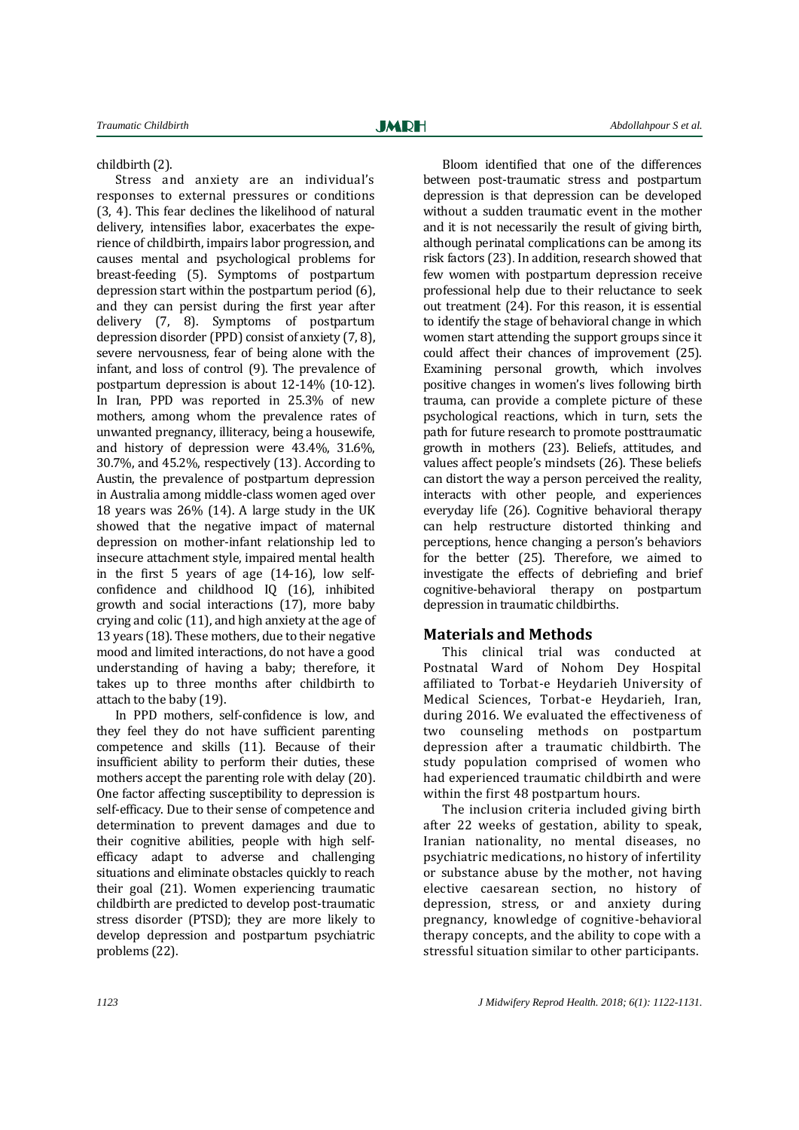childbirth (2).

Stress and anxiety are an individual's responses to external pressures or conditions (3, 4). This fear declines the likelihood of natural delivery, intensifies labor, exacerbates the experience of childbirth, impairs labor progression, and causes mental and psychological problems for breast-feeding (5). Symptoms of postpartum depression start within the postpartum period (6), and they can persist during the first year after delivery (7, 8). Symptoms of postpartum depression disorder (PPD) consist of anxiety (7, 8), severe nervousness, fear of being alone with the infant, and loss of control (9). The prevalence of postpartum depression is about 12-14% (10-12). In Iran, PPD was reported in 25.3% of new mothers, among whom the prevalence rates of unwanted pregnancy, illiteracy, being a housewife, and history of depression were 43.4%, 31.6%, 30.7%, and 45.2%, respectively (13). According to Austin, the prevalence of postpartum depression in Australia among middle-class women aged over 18 years was 26% (14). A large study in the UK showed that the negative impact of maternal depression on mother-infant relationship led to insecure attachment style, impaired mental health in the first 5 years of age (14-16), low selfconfidence and childhood IQ (16), inhibited growth and social interactions (17), more baby crying and colic (11), and high anxiety at the age of 13 years (18). These mothers, due to their negative mood and limited interactions, do not have a good understanding of having a baby; therefore, it takes up to three months after childbirth to attach to the baby (19).

In PPD mothers, self-confidence is low, and they feel they do not have sufficient parenting competence and skills (11). Because of their insufficient ability to perform their duties, these mothers accept the parenting role with delay (20). One factor affecting susceptibility to depression is self-efficacy. Due to their sense of competence and determination to prevent damages and due to their cognitive abilities, people with high selfefficacy adapt to adverse and challenging situations and eliminate obstacles quickly to reach their goal (21). Women experiencing traumatic childbirth are predicted to develop post-traumatic stress disorder (PTSD); they are more likely to develop depression and postpartum psychiatric problems (22).

Bloom identified that one of the differences between post-traumatic stress and postpartum depression is that depression can be developed without a sudden traumatic event in the mother and it is not necessarily the result of giving birth, although perinatal complications can be among its risk factors (23). In addition, research showed that few women with postpartum depression receive professional help due to their reluctance to seek out treatment (24). For this reason, it is essential to identify the stage of behavioral change in which women start attending the support groups since it could affect their chances of improvement (25). Examining personal growth, which involves positive changes in women's lives following birth trauma, can provide a complete picture of these psychological reactions, which in turn, sets the path for future research to promote posttraumatic growth in mothers (23). Beliefs, attitudes, and values affect people's mindsets (26). These beliefs can distort the way a person perceived the reality, interacts with other people, and experiences everyday life (26). Cognitive behavioral therapy can help restructure distorted thinking and perceptions, hence changing a person's behaviors for the better (25). Therefore, we aimed to investigate the effects of debriefing and brief cognitive-behavioral therapy on postpartum depression in traumatic childbirths.

#### **Materials and Methods**

This clinical trial was conducted at Postnatal Ward of Nohom Dey Hospital affiliated to Torbat-e Heydarieh University of Medical Sciences, Torbat-e Heydarieh, Iran, during 2016. We evaluated the effectiveness of two counseling methods on postpartum depression after a traumatic childbirth. The study population comprised of women who had experienced traumatic childbirth and were within the first 48 postpartum hours.

The inclusion criteria included giving birth after 22 weeks of gestation, ability to speak, Iranian nationality, no mental diseases, no psychiatric medications, no history of infertility or substance abuse by the mother, not having elective caesarean section, no history of depression, stress, or and anxiety during pregnancy, knowledge of cognitive-behavioral therapy concepts, and the ability to cope with a stressful situation similar to other participants.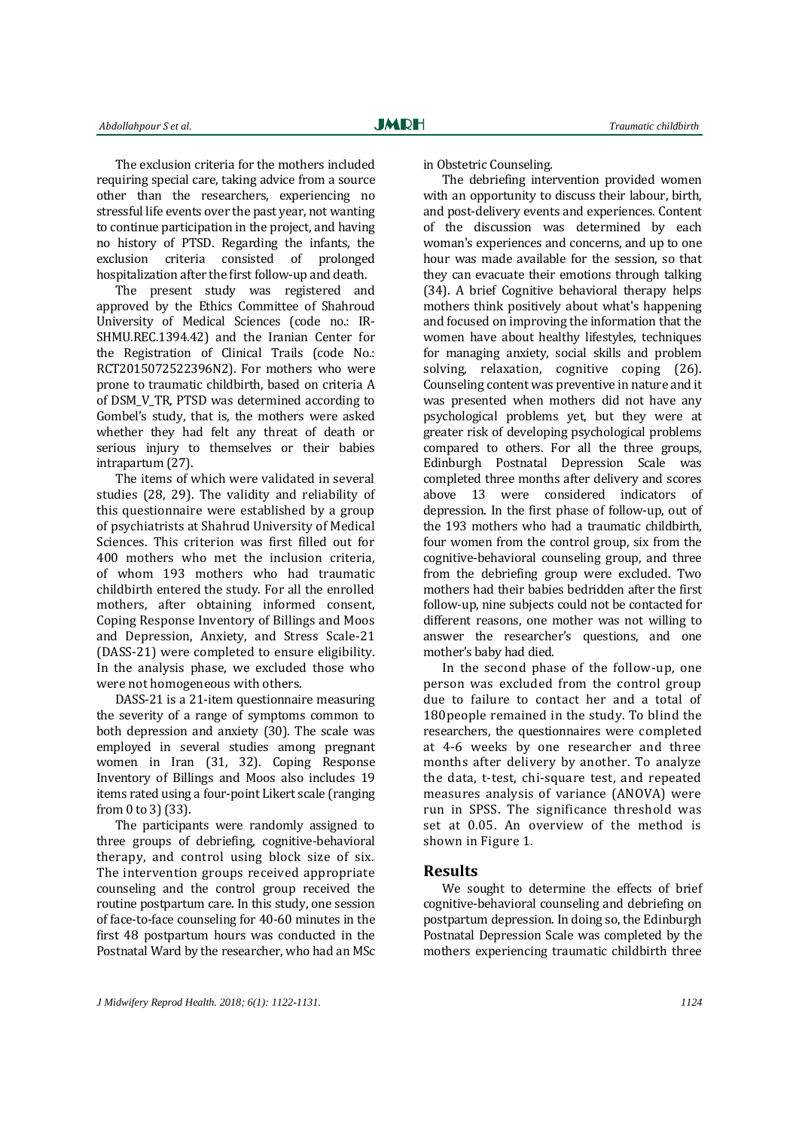The exclusion criteria for the mothers included requiring special care, taking advice from a source other than the researchers, experiencing no stressful life events over the past year, not wanting to continue participation in the project, and having no history of PTSD. Regarding the infants, the exclusion criteria consisted of prolonged hospitalization after the first follow-up and death.

The present study was registered and approved by the Ethics Committee of Shahroud University of Medical Sciences (code no.: IR-SHMU.REC.1394.42) and the Iranian Center for the Registration of Clinical Trails (code No.: RCT2015072522396N2). For mothers who were prone to traumatic childbirth, based on criteria A of DSM\_V\_TR, PTSD was determined according to Gombel's study, that is, the mothers were asked whether they had felt any threat of death or serious injury to themselves or their babies intrapartum (27).

The items of which were validated in several studies (28, 29). The validity and reliability of this questionnaire were established by a group of psychiatrists at Shahrud University of Medical Sciences. This criterion was first filled out for 400 mothers who met the inclusion criteria, of whom 193 mothers who had traumatic childbirth entered the study. For all the enrolled mothers, after obtaining informed consent, Coping Response Inventory of Billings and Moos and Depression, Anxiety, and Stress Scale-21 (DASS-21) were completed to ensure eligibility. In the analysis phase, we excluded those who were not homogeneous with others.

DASS-21 is a 21-item questionnaire measuring the severity of a range of symptoms common to both depression and anxiety (30). The scale was employed in several studies among pregnant women in Iran (31, 32). Coping Response Inventory of Billings and Moos also includes 19 items rated using a four-point Likert scale (ranging from 0 to 3) (33).

The participants were randomly assigned to three groups of debriefing, cognitive-behavioral therapy, and control using block size of six. The intervention groups received appropriate counseling and the control group received the routine postpartum care. In this study, one session of face-to-face counseling for 40-60 minutes in the first 48 postpartum hours was conducted in the Postnatal Ward by the researcher, who had an MSc in Obstetric Counseling.

The debriefing intervention provided women with an opportunity to discuss their labour, birth, and post-delivery events and experiences. Content of the discussion was determined by each woman's experiences and concerns, and up to one hour was made available for the session, so that they can evacuate their emotions through talking (34). A brief Cognitive behavioral therapy helps mothers think positively about what's happening and focused on improving the information that the women have about healthy lifestyles, techniques for managing anxiety, social skills and problem solving, relaxation, cognitive coping (26). Counseling content was preventive in nature and it was presented when mothers did not have any psychological problems yet, but they were at greater risk of developing psychological problems compared to others. For all the three groups, Edinburgh Postnatal Depression Scale was completed three months after delivery and scores above 13 were considered indicators of depression. In the first phase of follow-up, out of the 193 mothers who had a traumatic childbirth, four women from the control group, six from the cognitive-behavioral counseling group, and three from the debriefing group were excluded. Two mothers had their babies bedridden after the first follow-up, nine subjects could not be contacted for different reasons, one mother was not willing to answer the researcher's questions, and one mother's baby had died.

In the second phase of the follow-up, one person was excluded from the control group due to failure to contact her and a total of 180people remained in the study. To blind the researchers, the questionnaires were completed at 4-6 weeks by one researcher and three months after delivery by another. To analyze the data, t-test, chi-square test, and repeated measures analysis of variance (ANOVA) were run in SPSS. The significance threshold was set at 0.05. An overview of the method is shown in Figure 1.

#### **Results**

We sought to determine the effects of brief cognitive-behavioral counseling and debriefing on postpartum depression. In doing so, the Edinburgh Postnatal Depression Scale was completed by the mothers experiencing traumatic childbirth three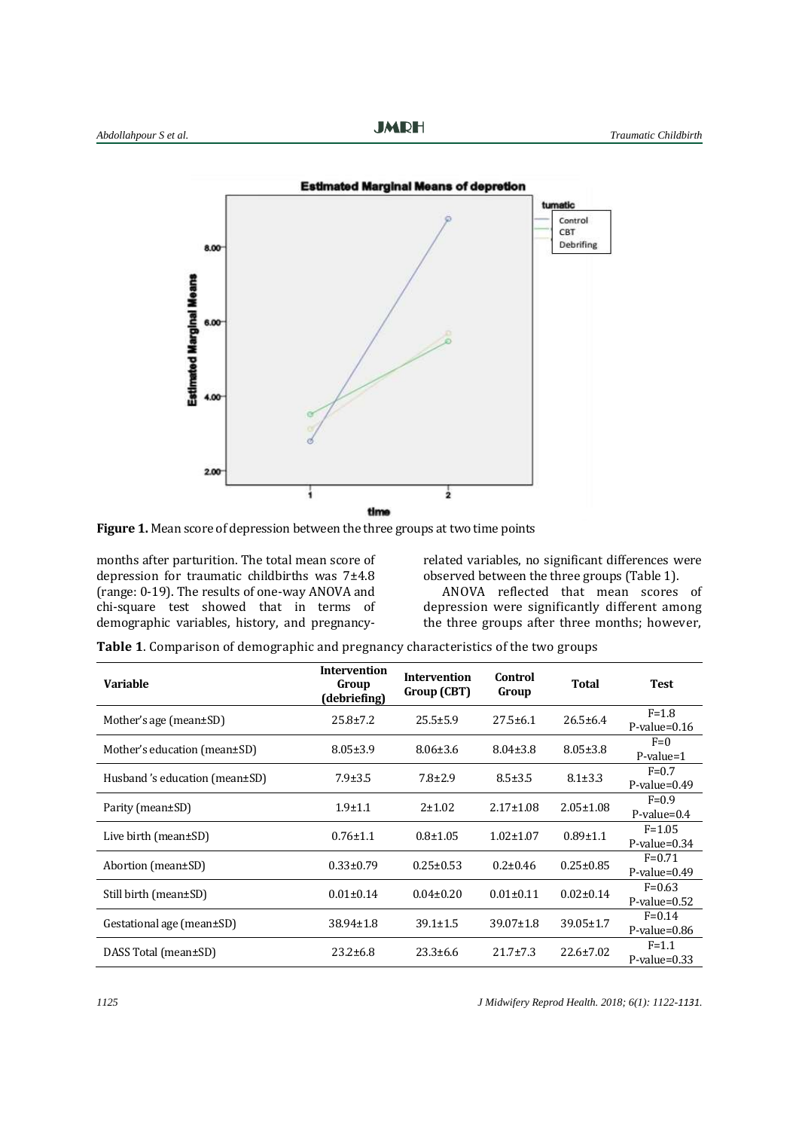

**Figure 1.** Mean score of depression between the three groups at two time points

months after parturition. The total mean score of depression for traumatic childbirths was 7±4.8 (range: 0-19). The results of one-way ANOVA and chi-square test showed that in terms of demographic variables, history, and pregnancyrelated variables, no significant differences were observed between the three groups (Table 1).

ANOVA reflected that mean scores of depression were significantly different among the three groups after three months; however,

**Table 1**. Comparison of demographic and pregnancy characteristics of the two groups

| <b>Variable</b>               | <b>Intervention</b><br>Group<br>(debriefing) | <b>Intervention</b><br>Group (CBT) | Control<br>Group | <b>Total</b>    | <b>Test</b>                   |
|-------------------------------|----------------------------------------------|------------------------------------|------------------|-----------------|-------------------------------|
| Mother's age (mean $\pm$ SD)  | $25.8 \pm 7.2$                               | $25.5 \pm 5.9$                     | $27.5 \pm 6.1$   | $26.5 \pm 6.4$  | $F = 1.8$<br>$P$ -value=0.16  |
| Mother's education (mean±SD)  | $8.05 \pm 3.9$                               | $8.06 \pm 3.6$                     | $8.04 \pm 3.8$   | $8.05 \pm 3.8$  | $F=0$<br>$P$ -value=1         |
| Husband's education (mean±SD) | $7.9 \pm 3.5$                                | $7.8 \pm 2.9$                      | $8.5 \pm 3.5$    | $8.1 \pm 3.3$   | $F=0.7$<br>$P-value=0.49$     |
| Parity (mean±SD)              | $1.9 \pm 1.1$                                | $2 + 1.02$                         | $2.17 \pm 1.08$  | $2.05 \pm 1.08$ | $F=0.9$<br>$P-value=0.4$      |
| Live birth (mean $\pm$ SD)    | $0.76 \pm 1.1$                               | $0.8 + 1.05$                       | $1.02 \pm 1.07$  | $0.89 \pm 1.1$  | $F = 1.05$<br>$P$ -value=0.34 |
| Abortion (mean±SD)            | $0.33 \pm 0.79$                              | $0.25 \pm 0.53$                    | $0.2 \pm 0.46$   | $0.25 \pm 0.85$ | $F=0.71$<br>$P-value=0.49$    |
| Still birth (mean±SD)         | $0.01 \pm 0.14$                              | $0.04 \pm 0.20$                    | $0.01 \pm 0.11$  | $0.02 \pm 0.14$ | $F=0.63$<br>$P-value = 0.52$  |
| Gestational age (mean±SD)     | $38.94 \pm 1.8$                              | $39.1 \pm 1.5$                     | $39.07 \pm 1.8$  | $39.05 \pm 1.7$ | $F = 0.14$<br>$P$ -value=0.86 |
| DASS Total (mean±SD)          | $23.2 \pm 6.8$                               | $23.3 \pm 6.6$                     | $21.7 \pm 7.3$   | $22.6 \pm 7.02$ | $F = 1.1$<br>$P-value=0.33$   |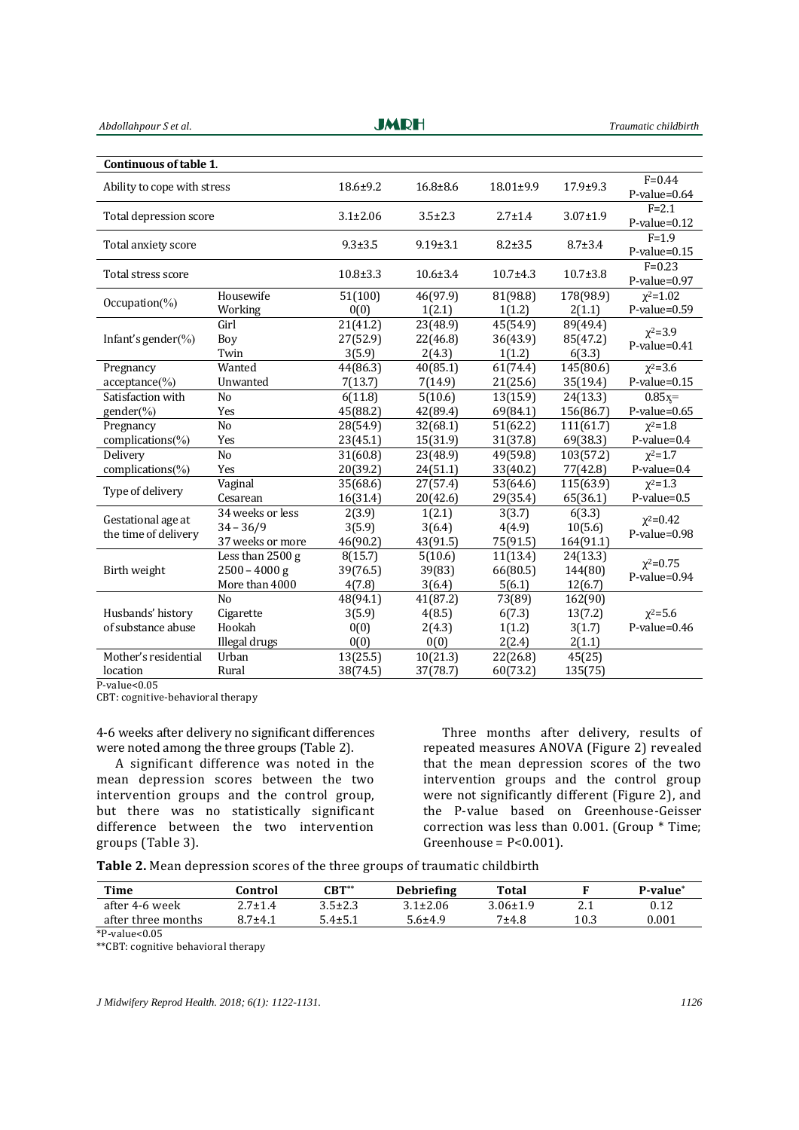| Abdollahpour S et al.                      |                                                       | JMRH                               |                                      |                                      | Traumatic childbirth                   |                                   |
|--------------------------------------------|-------------------------------------------------------|------------------------------------|--------------------------------------|--------------------------------------|----------------------------------------|-----------------------------------|
|                                            |                                                       |                                    |                                      |                                      |                                        |                                   |
| Continuous of table 1.                     |                                                       |                                    |                                      |                                      |                                        |                                   |
| Ability to cope with stress                |                                                       | $18.6 \pm 9.2$                     | $16.8 + 8.6$                         | 18.01±9.9                            | $17.9 + 9.3$                           | $F = 0.44$<br>$P-value=0.64$      |
| Total depression score                     |                                                       | $3.1 \pm 2.06$                     | $3.5 \pm 2.3$                        | $2.7 \pm 1.4$                        | $3.07 \pm 1.9$                         | $F = 2.1$<br>$P-value=0.12$       |
| Total anxiety score                        |                                                       | $9.3 \pm 3.5$                      | $9.19 \pm 3.1$                       | $8.2 + 3.5$                          | $8.7 \pm 3.4$                          | $F=1.9$<br>$P-value=0.15$         |
| Total stress score                         |                                                       | $10.8 \pm 3.3$                     | $10.6 \pm 3.4$                       | $10.7 + 4.3$                         | $10.7 \pm 3.8$                         | $F = 0.23$<br>$P-value=0.97$      |
| Occupation( $\%$ )                         | Housewife<br>Working                                  | 51(100)<br>0(0)                    | 46(97.9)<br>1(2.1)                   | 81(98.8)<br>1(1.2)                   | 178(98.9)<br>2(1.1)                    | $x^2 = 1.02$<br>$P-value=0.59$    |
| Infant's gender(%)                         | Girl<br>Boy<br>Twin                                   | 21(41.2)<br>27(52.9)<br>3(5.9)     | 23(48.9)<br>22(46.8)<br>2(4.3)       | 45(54.9)<br>36(43.9)<br>1(1.2)       | 89(49.4)<br>85(47.2)<br>6(3.3)         | $x^2 = 3.9$<br>$P-value=0.41$     |
| Pregnancy<br>$acceptance(\%)$              | Wanted<br>Unwanted                                    | 44(86.3)<br>7(13.7)                | 40(85.1)<br>7(14.9)                  | 61(74.4)<br>21(25.6)                 | 145(80.6)<br>35(19.4)                  | $x^2 = 3.6$<br>$P-value=0.15$     |
| Satisfaction with<br>gender(%)             | No<br>Yes                                             | 6(11.8)<br>45(88.2)                | 5(10.6)<br>42(89.4)                  | 13(15.9)<br>69(84.1)                 | 24(13.3)<br>156(86.7)                  | $0.85x =$<br>$P-value=0.65$       |
| Pregnancy<br>complications(%)              | No<br>Yes                                             | 28(54.9)<br>23(45.1)               | 32(68.1)<br>15(31.9)                 | 51(62.2)<br>31(37.8)                 | 111(61.7)<br>69(38.3)                  | $x^2 = 1.8$<br>P-value=0.4        |
| Delivery<br>complications(%)               | No<br>Yes                                             | 31(60.8)<br>20(39.2)               | 23(48.9)<br>24(51.1)                 | 49(59.8)<br>33(40.2)                 | 103(57.2)<br>77(42.8)                  | $x^2 = 1.7$<br>P-value=0.4        |
| Type of delivery                           | Vaginal<br>Cesarean                                   | 35(68.6)<br>16(31.4)               | 27(57.4)<br>20(42.6)                 | 53(64.6)<br>29(35.4)                 | 115(63.9)<br>65(36.1)                  | $x^2 = 1.3$<br>$P-value=0.5$      |
| Gestational age at<br>the time of delivery | 34 weeks or less<br>$34 - 36/9$<br>37 weeks or more   | 2(3.9)<br>3(5.9)<br>46(90.2)       | 1(2.1)<br>3(6.4)<br>43(91.5)         | 3(3.7)<br>4(4.9)<br>75(91.5)         | 6(3.3)<br>10(5.6)<br>164(91.1)         | $\chi^2 = 0.42$<br>$P-value=0.98$ |
| Birth weight                               | Less than 2500 g<br>$2500 - 4000$ g<br>More than 4000 | 8(15.7)<br>39(76.5)<br>4(7.8)      | 5(10.6)<br>39(83)<br>3(6.4)          | 11(13.4)<br>66(80.5)<br>5(6.1)       | 24(13.3)<br>144(80)<br>12(6.7)         | $x^2=0.75$<br>$P-value=0.94$      |
| Husbands' history<br>of substance abuse    | No<br>Cigarette<br>Hookah<br>Illegal drugs            | 48(94.1)<br>3(5.9)<br>0(0)<br>0(0) | 41(87.2)<br>4(8.5)<br>2(4.3)<br>0(0) | 73(89)<br>6(7.3)<br>1(1.2)<br>2(2.4) | 162(90)<br>13(7.2)<br>3(1.7)<br>2(1.1) | $x^2 = 5.6$<br>$P$ -value=0.46    |
| Mother's residential<br>location           | Urban<br>Rural                                        | 13(25.5)<br>38(74.5)               | 10(21.3)<br>37(78.7)                 | $\overline{22}(26.8)$<br>60(73.2)    | 45(25)<br>135(75)                      |                                   |

 $\frac{1}{2}$  is a set of  $\frac{1}{2}$ 

P-value<0.05

CBT: cognitive-behavioral therapy

4-6 weeks after delivery no significant differences were noted among the three groups (Table 2).

A significant difference was noted in the mean depression scores between the two intervention groups and the control group, but there was no statistically significant difference between the two intervention groups (Table 3).

Three months after delivery, results of repeated measures ANOVA (Figure 2) revealed that the mean depression scores of the two intervention groups and the control group were not significantly different (Figure 2), and the P-value based on Greenhouse-Geisser correction was less than 0.001. (Group \* Time; Greenhouse =  $P < 0.001$ ).

**Table 2.** Mean depression scores of the three groups of traumatic childbirth

| Time               | ∵ontrol       | $\mathsf{CBT}^{**}$ | <b>Debriefing</b> | Total          |      | P-value <sup>*</sup> |
|--------------------|---------------|---------------------|-------------------|----------------|------|----------------------|
| after 4-6 week     | $2.7 \pm 1.4$ | $3.5 \pm 2.3$       | $3.1 \pm 2.06$    | $3.06 \pm 1.9$ | 4.I  | 0.12                 |
| after three months | $8.7 + 4.1$   | $5.4 \pm 5.1$       | $5.6 + 4.9$       | $7+4.8$        | 10.3 | 0.001                |
| $*P-value<0.05$    |               |                     |                   |                |      |                      |

\*\*CBT: cognitive behavioral therapy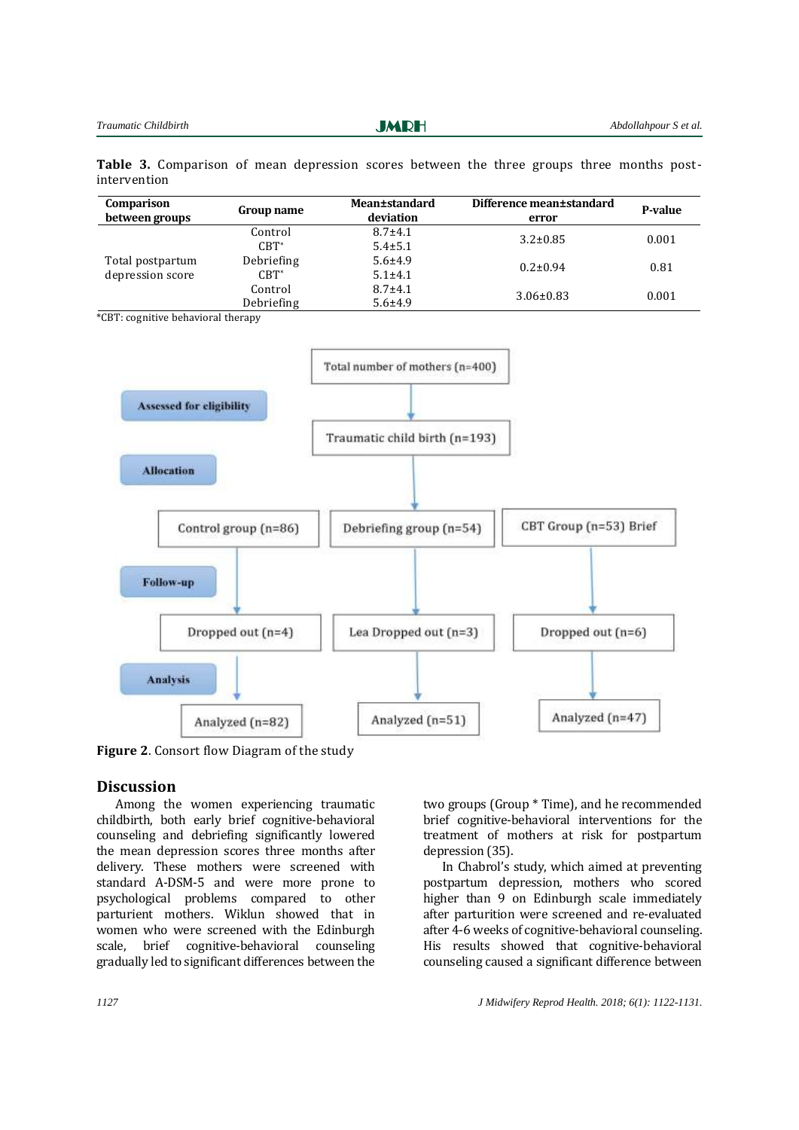**JMRH** 

**Table 3.** Comparison of mean depression scores between the three groups three months postintervention

| <b>Comparison</b><br>between groups | Group name | <b>Mean±standard</b><br>deviation | Difference mean±standard<br>error | P-value |
|-------------------------------------|------------|-----------------------------------|-----------------------------------|---------|
| Total postpartum                    | Control    | $8.7 + 4.1$                       | $3.2 \pm 0.85$                    | 0.001   |
|                                     | $CBT^*$    | $5.4 \pm 5.1$                     |                                   |         |
|                                     | Debriefing | $5.6 \pm 4.9$                     | $0.2 \pm 0.94$                    | 0.81    |
| depression score                    | $CBT^*$    | $5.1 \pm 4.1$                     |                                   |         |
|                                     | Control    | $8.7 + 4.1$                       |                                   | 0.001   |
|                                     | Debriefing | $5.6 + 4.9$                       | $3.06 \pm 0.83$                   |         |

\*CBT: cognitive behavioral therapy



**Figure 2**. Consort flow Diagram of the study

#### **Discussion**

Among the women experiencing traumatic childbirth, both early brief cognitive-behavioral counseling and debriefing significantly lowered the mean depression scores three months after delivery. These mothers were screened with standard A-DSM-5 and were more prone to psychological problems compared to other parturient mothers. Wiklun showed that in women who were screened with the Edinburgh scale, brief cognitive-behavioral counseling gradually led to significant differences between the

two groups (Group \* Time), and he recommended brief cognitive-behavioral interventions for the treatment of mothers at risk for postpartum depression (35).

In Chabrol's study, which aimed at preventing postpartum depression, mothers who scored higher than 9 on Edinburgh scale immediately after parturition were screened and re-evaluated after 4-6 weeks of cognitive-behavioral counseling. His results showed that cognitive-behavioral counseling caused a significant difference between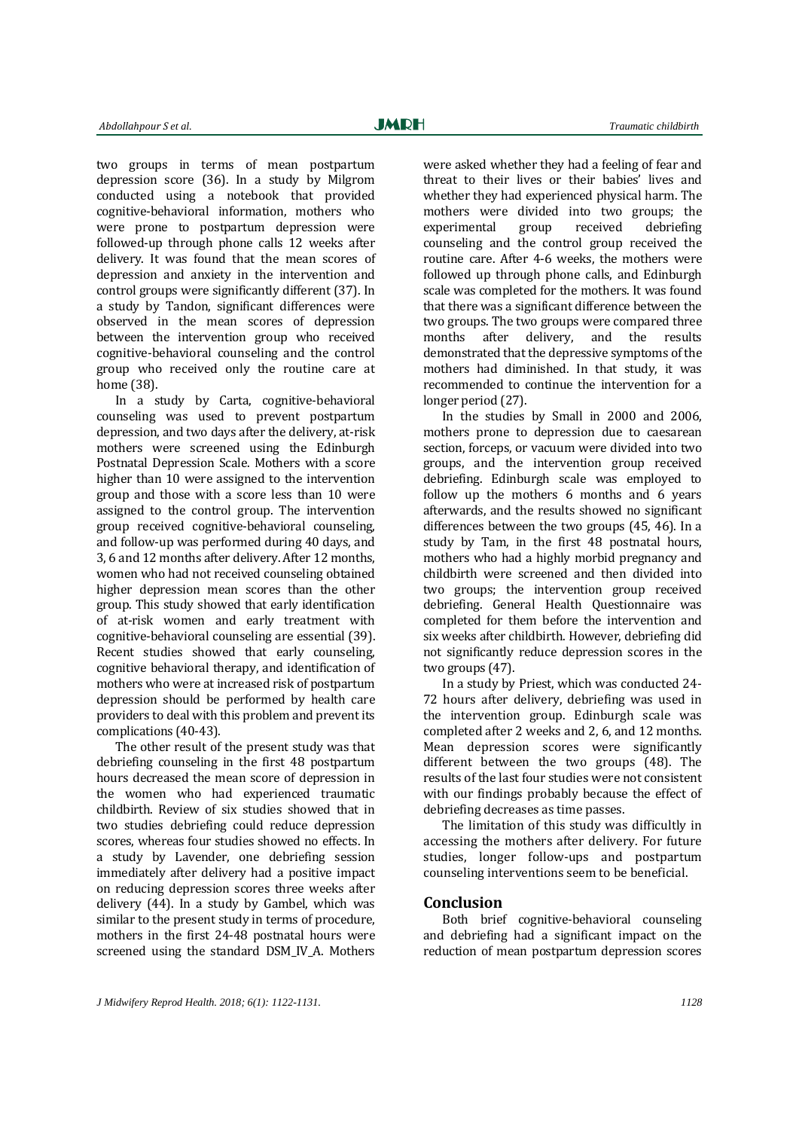two groups in terms of mean postpartum depression score (36). In a study by Milgrom conducted using a notebook that provided cognitive-behavioral information, mothers who were prone to postpartum depression were followed-up through phone calls 12 weeks after delivery. It was found that the mean scores of depression and anxiety in the intervention and control groups were significantly different (37). In a study by Tandon, significant differences were observed in the mean scores of depression between the intervention group who received cognitive-behavioral counseling and the control group who received only the routine care at home (38).

In a study by Carta, cognitive-behavioral counseling was used to prevent postpartum depression, and two days after the delivery, at-risk mothers were screened using the Edinburgh Postnatal Depression Scale. Mothers with a score higher than 10 were assigned to the intervention group and those with a score less than 10 were assigned to the control group. The intervention group received cognitive-behavioral counseling, and follow-up was performed during 40 days, and 3, 6 and 12 months after delivery. After 12 months, women who had not received counseling obtained higher depression mean scores than the other group. This study showed that early identification of at-risk women and early treatment with cognitive-behavioral counseling are essential (39). Recent studies showed that early counseling, cognitive behavioral therapy, and identification of mothers who were at increased risk of postpartum depression should be performed by health care providers to deal with this problem and prevent its complications (40-43).

The other result of the present study was that debriefing counseling in the first 48 postpartum hours decreased the mean score of depression in the women who had experienced traumatic childbirth. Review of six studies showed that in two studies debriefing could reduce depression scores, whereas four studies showed no effects. In a study by Lavender, one debriefing session immediately after delivery had a positive impact on reducing depression scores three weeks after delivery (44). In a study by Gambel, which was similar to the present study in terms of procedure, mothers in the first 24-48 postnatal hours were screened using the standard DSM\_IV\_A. Mothers

were asked whether they had a feeling of fear and threat to their lives or their babies' lives and whether they had experienced physical harm. The mothers were divided into two groups; the experimental group received debriefing counseling and the control group received the routine care. After 4-6 weeks, the mothers were followed up through phone calls, and Edinburgh scale was completed for the mothers. It was found that there was a significant difference between the two groups. The two groups were compared three months after delivery, and the results demonstrated that the depressive symptoms of the mothers had diminished. In that study, it was recommended to continue the intervention for a longer period (27).

In the studies by Small in 2000 and 2006, mothers prone to depression due to caesarean section, forceps, or vacuum were divided into two groups, and the intervention group received debriefing. Edinburgh scale was employed to follow up the mothers 6 months and 6 years afterwards, and the results showed no significant differences between the two groups (45, 46). In a study by Tam, in the first 48 postnatal hours, mothers who had a highly morbid pregnancy and childbirth were screened and then divided into two groups; the intervention group received debriefing. General Health Questionnaire was completed for them before the intervention and six weeks after childbirth. However, debriefing did not significantly reduce depression scores in the two groups (47).

In a study by Priest, which was conducted 24- 72 hours after delivery, debriefing was used in the intervention group. Edinburgh scale was completed after 2 weeks and 2, 6, and 12 months. Mean depression scores were significantly different between the two groups (48). The results of the last four studies were not consistent with our findings probably because the effect of debriefing decreases as time passes.

The limitation of this study was difficultly in accessing the mothers after delivery. For future studies, longer follow-ups and postpartum counseling interventions seem to be beneficial.

#### **Conclusion**

Both brief cognitive-behavioral counseling and debriefing had a significant impact on the reduction of mean postpartum depression scores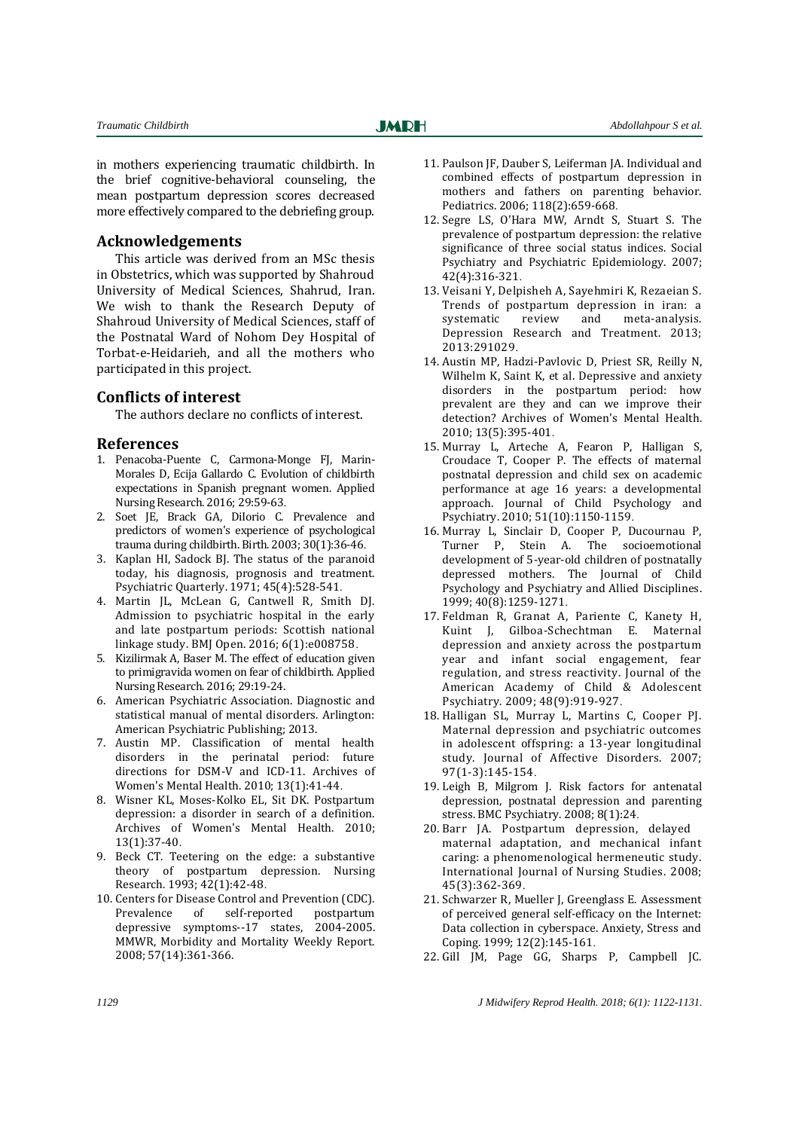in mothers experiencing traumatic childbirth. In the brief cognitive-behavioral counseling, the mean postpartum depression scores decreased more effectively compared to the debriefing group.

#### **Acknowledgements**

This article was derived from an MSc thesis in Obstetrics, which was supported by Shahroud University of Medical Sciences, Shahrud, Iran. We wish to thank the Research Deputy of Shahroud University of Medical Sciences, staff of the Postnatal Ward of Nohom Dey Hospital of Torbat-e-Heidarieh, and all the mothers who participated in this project.

#### **Conflicts of interest**

The authors declare no conflicts of interest.

#### **References**

- 1. Penacoba-Puente C, Carmona-Monge FJ, Marin-Morales D, Ecija Gallardo C. Evolution of childbirth expectations in Spanish pregnant women. Applied Nursing Research. 2016; 29:59-63.
- 2. Soet JE, Brack GA, DiIorio C. Prevalence and predictors of women's experience of psychological trauma during childbirth. Birth. 2003; 30(1):36-46.
- 3. Kaplan HI, Sadock BJ. The status of the paranoid today, his diagnosis, prognosis and treatment. Psychiatric Quarterly. 1971; 45(4):528-541.
- 4. Martin JL, McLean G, Cantwell R, Smith DJ. Admission to psychiatric hospital in the early and late postpartum periods: Scottish national linkage study. BMJ Open. 2016; 6(1):e008758.
- 5. Kizilirmak A, Baser M. The effect of education given to primigravida women on fear of childbirth. Applied Nursing Research. 2016; 29:19-24.
- 6. American Psychiatric Association. Diagnostic and statistical manual of mental disorders. Arlington: American Psychiatric Publishing; 2013.
- 7. Austin MP. Classification of mental health disorders in the perinatal period: future directions for DSM-V and ICD-11. Archives of Women's Mental Health. 2010; 13(1):41-44.
- 8. Wisner KL, Moses-Kolko EL, Sit DK. Postpartum depression: a disorder in search of a definition. Archives of Women's Mental Health. 2010; 13(1):37-40.
- 9. Beck CT. Teetering on the edge: a substantive theory of postpartum depression. Nursing Research. 1993; 42(1):42-48.
- 10. Centers for Disease Control and Prevention (CDC). Prevalence of self-reported postpartum depressive symptoms--17 states, 2004-2005. MMWR, Morbidity and Mortality Weekly Report. 2008; 57(14):361-366.
- 11. Paulson JF, Dauber S, Leiferman JA. Individual and combined effects of postpartum depression in mothers and fathers on parenting behavior. Pediatrics. 2006; 118(2):659-668.
- 12. Segre LS, O'Hara MW, Arndt S, Stuart S. The prevalence of postpartum depression: the relative significance of three social status indices. Social Psychiatry and Psychiatric Epidemiology. 2007; 42(4):316-321.
- 13. Veisani Y, Delpisheh A, Sayehmiri K, Rezaeian S. Trends of postpartum depression in iran: a systematic review and meta-analysis. Depression Research and Treatment. 2013; 2013:291029.
- 14. Austin MP, Hadzi-Pavlovic D, Priest SR, Reilly N, Wilhelm K, Saint K, et al. Depressive and anxiety disorders in the postpartum period: how prevalent are they and can we improve their detection? Archives of Women's Mental Health. 2010; 13(5):395-401.
- 15. Murray L, Arteche A, Fearon P, Halligan S, Croudace T, Cooper P. The effects of maternal postnatal depression and child sex on academic performance at age 16 years: a developmental approach. Journal of Child Psychology and Psychiatry. 2010; 51(10):1150-1159.
- 16. Murray L, Sinclair D, Cooper P, Ducournau P, Turner P, Stein A. The socioemotional development of 5-year-old children of postnatally depressed mothers. The Journal of Child Psychology and Psychiatry and Allied Disciplines. 1999; 40(8):1259-1271.
- 17. Feldman R, Granat A, Pariente C, Kanety H, Kuint J, Gilboa-Schechtman E. Maternal depression and anxiety across the postpartum year and infant social engagement, fear regulation, and stress reactivity. Journal of the American Academy of Child & Adolescent Psychiatry. 2009; 48(9):919-927.
- 18. Halligan SL, Murray L, Martins C, Cooper PJ. Maternal depression and psychiatric outcomes in adolescent offspring: a 13-year longitudinal study. Journal of Affective Disorders. 2007; 97(1-3):145-154.
- 19. Leigh B, Milgrom J. Risk factors for antenatal depression, postnatal depression and parenting stress. BMC Psychiatry. 2008; 8(1):24.
- 20. Barr JA. Postpartum depression, delayed maternal adaptation, and mechanical infant caring: a phenomenological hermeneutic study. International Journal of Nursing Studies. 2008; 45(3):362-369.
- 21. Schwarzer R, Mueller J, Greenglass E. Assessment of perceived general self-efficacy on the Internet: Data collection in cyberspace. Anxiety, Stress and Coping. 1999; 12(2):145-161.
- 22. Gill JM, Page GG, Sharps P, Campbell JC.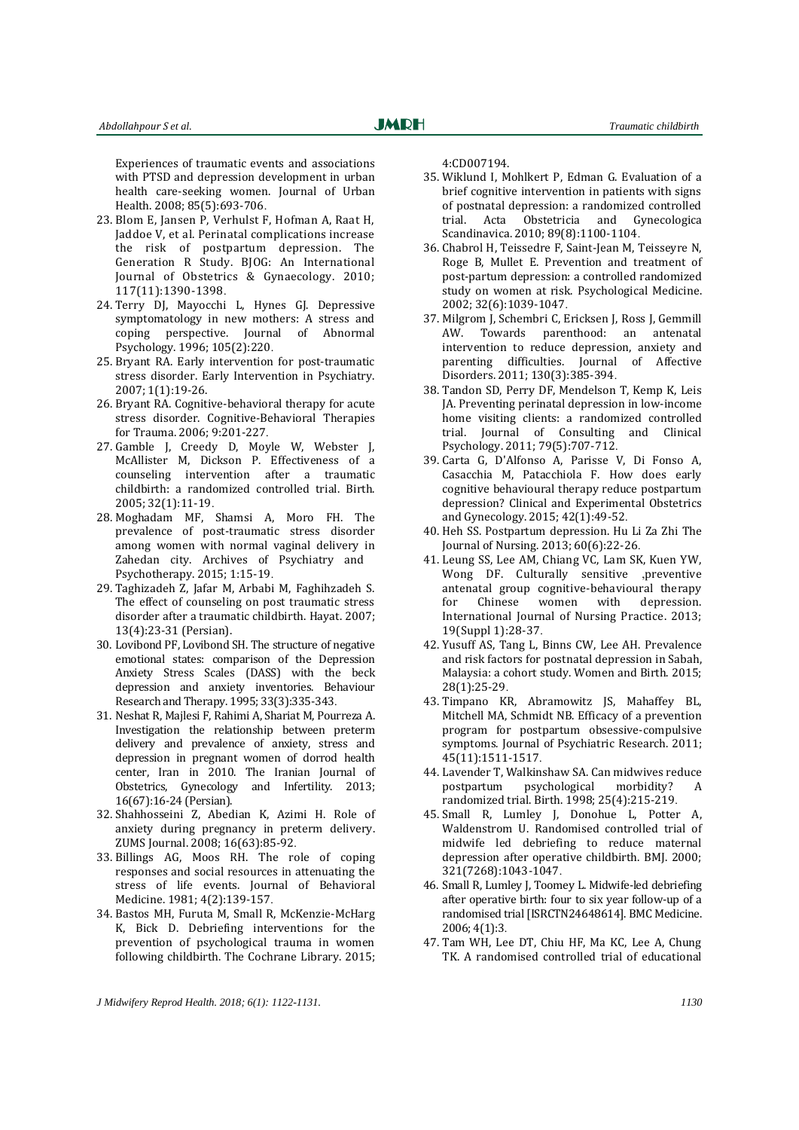Experiences of traumatic events and associations with PTSD and depression development in urban health care-seeking women. Journal of Urban Health. 2008; 85(5):693-706.

- 23. Blom E, Jansen P, Verhulst F, Hofman A, Raat H, Jaddoe V, et al. Perinatal complications increase the risk of postpartum depression. The Generation R Study. BJOG: An International Journal of Obstetrics & Gynaecology. 2010; 117(11):1390-1398.
- 24. Terry DJ, Mayocchi L, Hynes GJ. Depressive symptomatology in new mothers: A stress and coping perspective. Journal of Abnormal Psychology. 1996; 105(2):220.
- 25. Bryant RA. Early intervention for post-traumatic stress disorder. Early Intervention in Psychiatry. 2007; 1(1):19-26.
- 26. Bryant RA. Cognitive-behavioral therapy for acute stress disorder. Cognitive-Behavioral Therapies for Trauma. 2006; 9:201-227.
- 27. Gamble J, Creedy D, Moyle W, Webster J, McAllister M, Dickson P. Effectiveness of a counseling intervention after a traumatic childbirth: a randomized controlled trial. Birth. 2005; 32(1):11-19.
- 28. Moghadam MF, Shamsi A, Moro FH. The prevalence of post-traumatic stress disorder among women with normal vaginal delivery in Zahedan city. Archives of Psychiatry and Psychotherapy. 2015; 1:15-19.
- 29. Taghizadeh Z, Jafar M, Arbabi M, Faghihzadeh S. The effect of counseling on post traumatic stress disorder after a traumatic childbirth. Hayat. 2007; 13(4):23-31 (Persian).
- 30. Lovibond PF, Lovibond SH. The structure of negative emotional states: comparison of the Depression Anxiety Stress Scales (DASS) with the beck depression and anxiety inventories. Behaviour Research and Therapy. 1995; 33(3):335-343.
- 31. Neshat R, Majlesi F, Rahimi A, Shariat M, Pourreza A. Investigation the relationship between preterm delivery and prevalence of anxiety, stress and depression in pregnant women of dorrod health center, Iran in 2010. The Iranian Journal of Obstetrics, Gynecology and Infertility. 2013; 16(67):16-24 (Persian).
- 32. Shahhosseini Z, Abedian K, Azimi H. Role of anxiety during pregnancy in preterm delivery. ZUMS Journal. 2008; 16(63):85-92.
- 33. Billings AG, Moos RH. The role of coping responses and social resources in attenuating the stress of life events. Journal of Behavioral Medicine. 1981; 4(2):139-157.
- 34. Bastos MH, Furuta M, Small R, McKenzie-McHarg K, Bick D. Debriefing interventions for the prevention of psychological trauma in women following childbirth. The Cochrane Library. 2015;

4:CD007194.

**JMRH** 

- 35. Wiklund I, Mohlkert P, Edman G. Evaluation of a brief cognitive intervention in patients with signs of postnatal depression: a randomized controlled trial. Acta Obstetricia and Gynecologica Scandinavica. 2010; 89(8):1100-1104.
- 36. Chabrol H, Teissedre F, Saint-Jean M, Teisseyre N, Roge B, Mullet E. Prevention and treatment of post-partum depression: a controlled randomized study on women at risk. Psychological Medicine. 2002; 32(6):1039-1047.
- 37. Milgrom J, Schembri C, Ericksen J, Ross J, Gemmill Towards parenthood: an antenatal intervention to reduce depression, anxiety and parenting difficulties. Journal of Affective Disorders. 2011; 130(3):385-394.
- 38. Tandon SD, Perry DF, Mendelson T, Kemp K, Leis JA. Preventing perinatal depression in low-income home visiting clients: a randomized controlled trial. Journal of Consulting and Clinical Psychology. 2011; 79(5):707-712.
- 39. Carta G, D'Alfonso A, Parisse V, Di Fonso A, Casacchia M, Patacchiola F. How does early cognitive behavioural therapy reduce postpartum depression? Clinical and Experimental Obstetrics and Gynecology. 2015; 42(1):49-52.
- 40. Heh SS. Postpartum depression. Hu Li Za Zhi The Journal of Nursing. 2013; 60(6):22-26.
- 41. Leung SS, Lee AM, Chiang VC, Lam SK, Kuen YW, Wong DF. Culturally sensitive ,preventive antenatal group cognitive-behavioural therapy for Chinese women with depression. International Journal of Nursing Practice. 2013; 19(Suppl 1):28-37.
- 42. Yusuff AS, Tang L, Binns CW, Lee AH. Prevalence and risk factors for postnatal depression in Sabah, Malaysia: a cohort study. Women and Birth. 2015; 28(1):25-29.
- 43. Timpano KR, Abramowitz JS, Mahaffey BL, Mitchell MA, Schmidt NB. Efficacy of a prevention program for postpartum obsessive-compulsive symptoms. Journal of Psychiatric Research. 2011; 45(11):1511-1517.
- 44. Lavender T, Walkinshaw SA. Can midwives reduce postpartum psychological morbidity? A randomized trial. Birth. 1998; 25(4):215-219.
- 45. Small R, Lumley J, Donohue L, Potter A, Waldenstrom U. Randomised controlled trial of midwife led debriefing to reduce maternal depression after operative childbirth. BMJ. 2000; 321(7268):1043-1047.
- 46. Small R, Lumley J, Toomey L. Midwife-led debriefing after operative birth: four to six year follow-up of a randomised trial [ISRCTN24648614]. BMC Medicine. 2006; 4(1):3.
- 47. Tam WH, Lee DT, Chiu HF, Ma KC, Lee A, Chung TK. A randomised controlled trial of educational